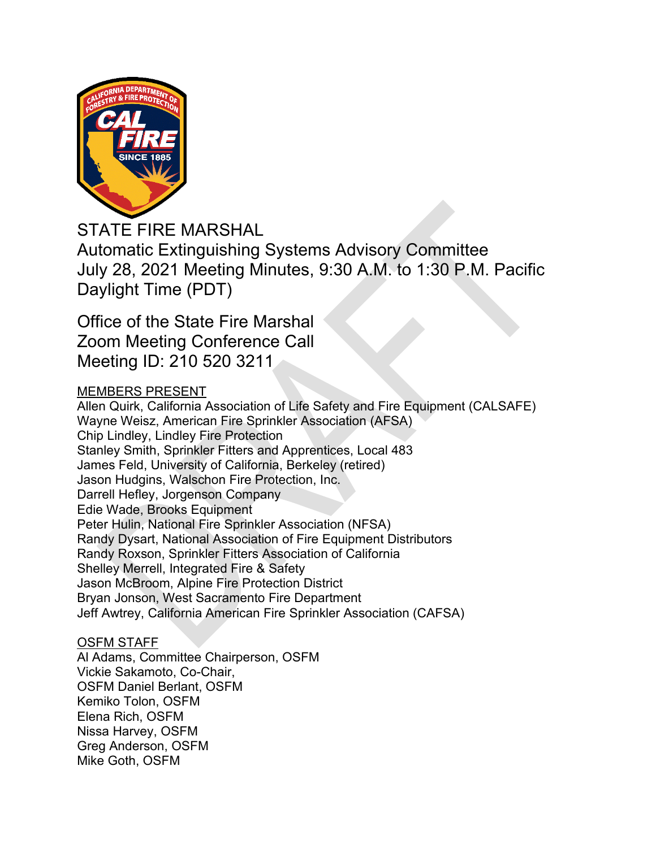

STATE FIRE MARSHAL Automatic Extinguishing Systems Advisory Committee July 28, 2021 Meeting Minutes, 9:30 A.M. to 1:30 P.M. Pacific Daylight Time (PDT)

Office of the State Fire Marshal Zoom Meeting Conference Call Meeting ID: 210 520 3211

# MEMBERS PRESENT

Allen Quirk, California Association of Life Safety and Fire Equipment (CALSAFE) Wayne Weisz, American Fire Sprinkler Association (AFSA) Chip Lindley, Lindley Fire Protection Stanley Smith, Sprinkler Fitters and Apprentices, Local 483 James Feld, University of California, Berkeley (retired) Jason Hudgins, Walschon Fire Protection, Inc. Darrell Hefley, Jorgenson Company Edie Wade, Brooks Equipment Peter Hulin, National Fire Sprinkler Association (NFSA) Randy Dysart, National Association of Fire Equipment Distributors Randy Roxson, Sprinkler Fitters Association of California Shelley Merrell, Integrated Fire & Safety Jason McBroom, Alpine Fire Protection District Bryan Jonson, West Sacramento Fire Department Jeff Awtrey, California American Fire Sprinkler Association (CAFSA)

# OSFM STAFF

Al Adams, Committee Chairperson, OSFM Vickie Sakamoto, Co-Chair, OSFM Daniel Berlant, OSFM Kemiko Tolon, OSFM Elena Rich, OSFM Nissa Harvey, OSFM Greg Anderson, OSFM Mike Goth, OSFM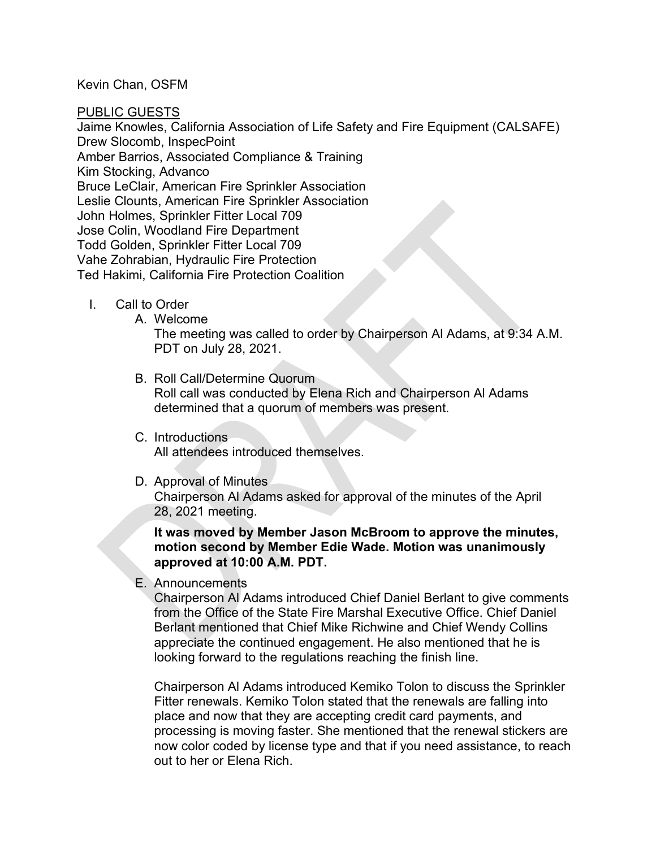Kevin Chan, OSFM

## PUBLIC GUESTS

Jaime Knowles, California Association of Life Safety and Fire Equipment (CALSAFE) Drew Slocomb, InspecPoint Amber Barrios, Associated Compliance & Training Kim Stocking, Advanco Bruce LeClair, American Fire Sprinkler Association Leslie Clounts, American Fire Sprinkler Association John Holmes, Sprinkler Fitter Local 709 Jose Colin, Woodland Fire Department Todd Golden, Sprinkler Fitter Local 709 Vahe Zohrabian, Hydraulic Fire Protection Ted Hakimi, California Fire Protection Coalition

- I. Call to Order
	- A. Welcome

The meeting was called to order by Chairperson Al Adams, at 9:34 A.M. PDT on July 28, 2021.

- B. Roll Call/Determine Quorum Roll call was conducted by Elena Rich and Chairperson Al Adams determined that a quorum of members was present.
- C. Introductions

All attendees introduced themselves.

D. Approval of Minutes

Chairperson Al Adams asked for approval of the minutes of the April 28, 2021 meeting.

**It was moved by Member Jason McBroom to approve the minutes, motion second by Member Edie Wade. Motion was unanimously approved at 10:00 A.M. PDT.**

E. Announcements

Chairperson Al Adams introduced Chief Daniel Berlant to give comments from the Office of the State Fire Marshal Executive Office. Chief Daniel Berlant mentioned that Chief Mike Richwine and Chief Wendy Collins appreciate the continued engagement. He also mentioned that he is looking forward to the regulations reaching the finish line.

Chairperson Al Adams introduced Kemiko Tolon to discuss the Sprinkler Fitter renewals. Kemiko Tolon stated that the renewals are falling into place and now that they are accepting credit card payments, and processing is moving faster. She mentioned that the renewal stickers are now color coded by license type and that if you need assistance, to reach out to her or Elena Rich.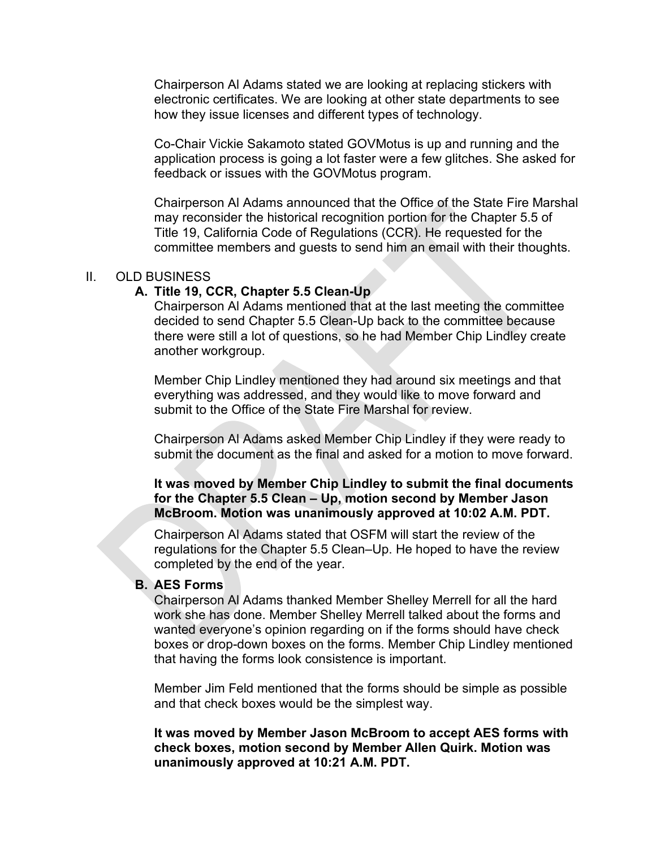Chairperson Al Adams stated we are looking at replacing stickers with electronic certificates. We are looking at other state departments to see how they issue licenses and different types of technology.

Co-Chair Vickie Sakamoto stated GOVMotus is up and running and the application process is going a lot faster were a few glitches. She asked for feedback or issues with the GOVMotus program.

Chairperson Al Adams announced that the Office of the State Fire Marshal may reconsider the historical recognition portion for the Chapter 5.5 of Title 19, California Code of Regulations (CCR). He requested for the committee members and guests to send him an email with their thoughts.

## II. OLD BUSINESS

#### **A. Title 19, CCR, Chapter 5.5 Clean-Up**

Chairperson Al Adams mentioned that at the last meeting the committee decided to send Chapter 5.5 Clean-Up back to the committee because there were still a lot of questions, so he had Member Chip Lindley create another workgroup.

Member Chip Lindley mentioned they had around six meetings and that everything was addressed, and they would like to move forward and submit to the Office of the State Fire Marshal for review.

Chairperson Al Adams asked Member Chip Lindley if they were ready to submit the document as the final and asked for a motion to move forward.

**It was moved by Member Chip Lindley to submit the final documents for the Chapter 5.5 Clean – Up, motion second by Member Jason McBroom. Motion was unanimously approved at 10:02 A.M. PDT.**

Chairperson Al Adams stated that OSFM will start the review of the regulations for the Chapter 5.5 Clean–Up. He hoped to have the review completed by the end of the year.

## **B. AES Forms**

Chairperson Al Adams thanked Member Shelley Merrell for all the hard work she has done. Member Shelley Merrell talked about the forms and wanted everyone's opinion regarding on if the forms should have check boxes or drop-down boxes on the forms. Member Chip Lindley mentioned that having the forms look consistence is important.

Member Jim Feld mentioned that the forms should be simple as possible and that check boxes would be the simplest way.

**It was moved by Member Jason McBroom to accept AES forms with check boxes, motion second by Member Allen Quirk. Motion was unanimously approved at 10:21 A.M. PDT.**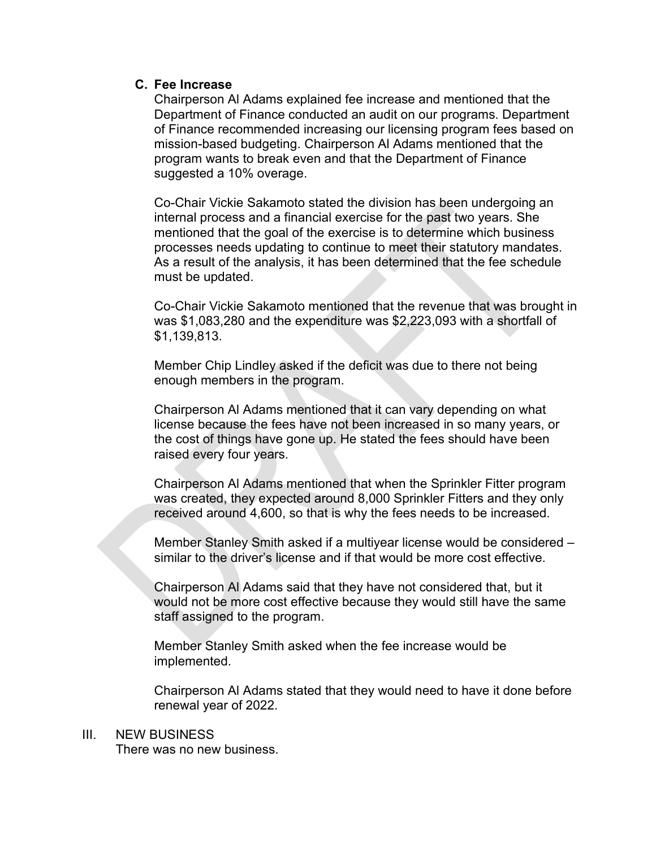## **C. Fee Increase**

Chairperson Al Adams explained fee increase and mentioned that the Department of Finance conducted an audit on our programs. Department of Finance recommended increasing our licensing program fees based on mission-based budgeting. Chairperson Al Adams mentioned that the program wants to break even and that the Department of Finance suggested a 10% overage.

Co-Chair Vickie Sakamoto stated the division has been undergoing an internal process and a financial exercise for the past two years. She mentioned that the goal of the exercise is to determine which business processes needs updating to continue to meet their statutory mandates. As a result of the analysis, it has been determined that the fee schedule must be updated.

Co-Chair Vickie Sakamoto mentioned that the revenue that was brought in was \$1,083,280 and the expenditure was \$2,223,093 with a shortfall of \$1,139,813.

Member Chip Lindley asked if the deficit was due to there not being enough members in the program.

Chairperson Al Adams mentioned that it can vary depending on what license because the fees have not been increased in so many years, or the cost of things have gone up. He stated the fees should have been raised every four years.

Chairperson Al Adams mentioned that when the Sprinkler Fitter program was created, they expected around 8,000 Sprinkler Fitters and they only received around 4,600, so that is why the fees needs to be increased.

Member Stanley Smith asked if a multiyear license would be considered – similar to the driver's license and if that would be more cost effective.

Chairperson Al Adams said that they have not considered that, but it would not be more cost effective because they would still have the same staff assigned to the program.

Member Stanley Smith asked when the fee increase would be implemented.

Chairperson Al Adams stated that they would need to have it done before renewal year of 2022.

#### III. NEW BUSINESS

There was no new business.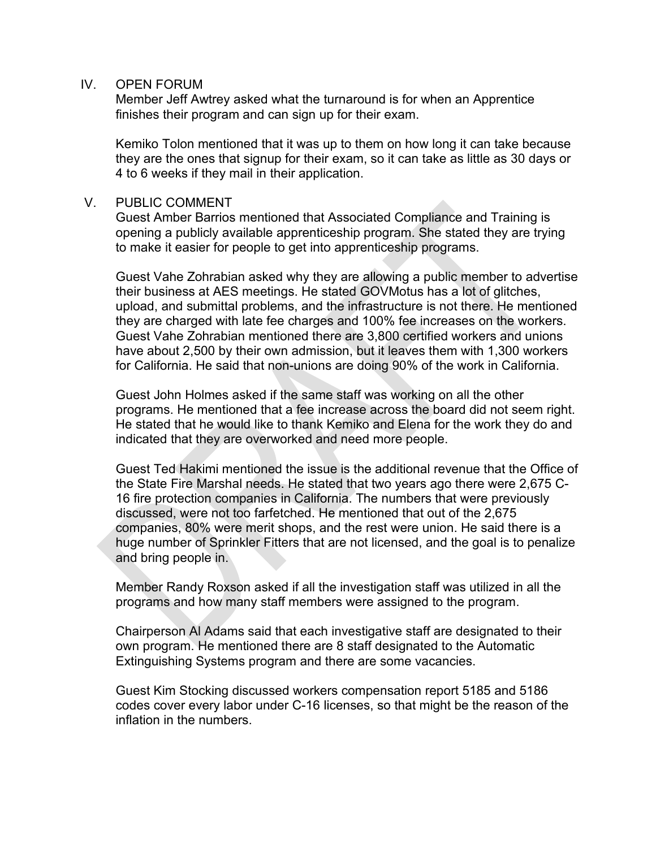#### IV. OPEN FORUM

Member Jeff Awtrey asked what the turnaround is for when an Apprentice finishes their program and can sign up for their exam.

Kemiko Tolon mentioned that it was up to them on how long it can take because they are the ones that signup for their exam, so it can take as little as 30 days or 4 to 6 weeks if they mail in their application.

### V. PUBLIC COMMENT

Guest Amber Barrios mentioned that Associated Compliance and Training is opening a publicly available apprenticeship program. She stated they are trying to make it easier for people to get into apprenticeship programs.

Guest Vahe Zohrabian asked why they are allowing a public member to advertise their business at AES meetings. He stated GOVMotus has a lot of glitches, upload, and submittal problems, and the infrastructure is not there. He mentioned they are charged with late fee charges and 100% fee increases on the workers. Guest Vahe Zohrabian mentioned there are 3,800 certified workers and unions have about 2,500 by their own admission, but it leaves them with 1,300 workers for California. He said that non-unions are doing 90% of the work in California.

Guest John Holmes asked if the same staff was working on all the other programs. He mentioned that a fee increase across the board did not seem right. He stated that he would like to thank Kemiko and Elena for the work they do and indicated that they are overworked and need more people.

Guest Ted Hakimi mentioned the issue is the additional revenue that the Office of the State Fire Marshal needs. He stated that two years ago there were 2,675 C-16 fire protection companies in California. The numbers that were previously discussed, were not too farfetched. He mentioned that out of the 2,675 companies, 80% were merit shops, and the rest were union. He said there is a huge number of Sprinkler Fitters that are not licensed, and the goal is to penalize and bring people in.

Member Randy Roxson asked if all the investigation staff was utilized in all the programs and how many staff members were assigned to the program.

Chairperson Al Adams said that each investigative staff are designated to their own program. He mentioned there are 8 staff designated to the Automatic Extinguishing Systems program and there are some vacancies.

Guest Kim Stocking discussed workers compensation report 5185 and 5186 codes cover every labor under C-16 licenses, so that might be the reason of the inflation in the numbers.